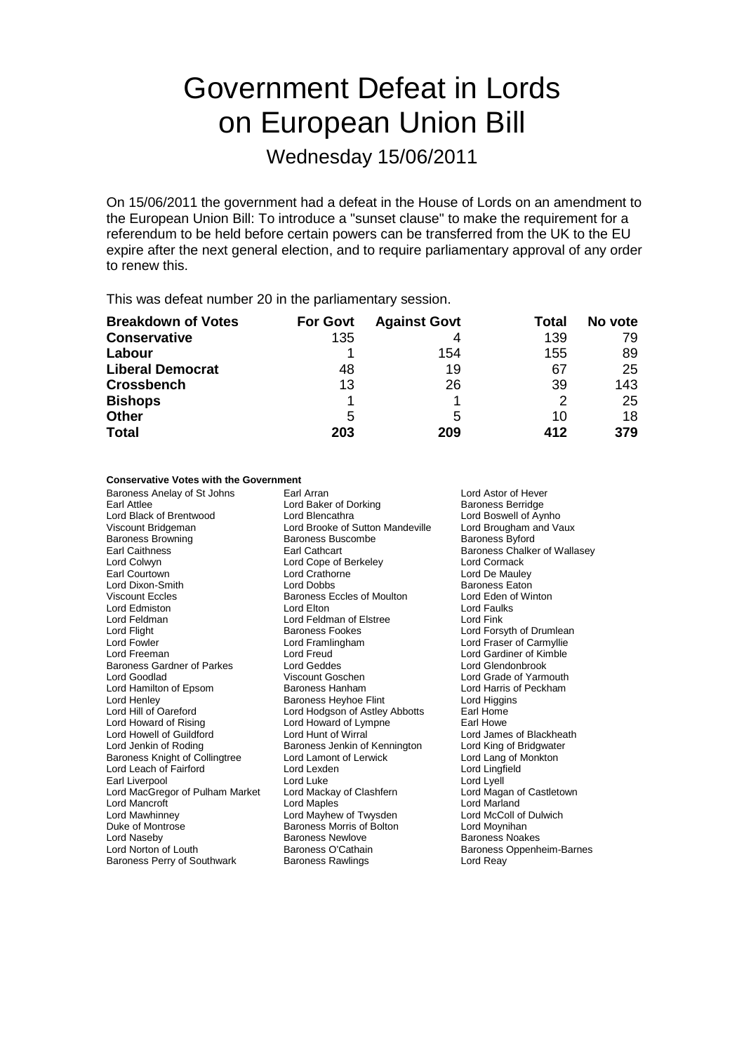# Government Defeat in Lords on European Union Bill

Wednesday 15/06/2011

On 15/06/2011 the government had a defeat in the House of Lords on an amendment to the European Union Bill: To introduce a "sunset clause" to make the requirement for a referendum to be held before certain powers can be transferred from the UK to the EU expire after the next general election, and to require parliamentary approval of any order to renew this.

This was defeat number 20 in the parliamentary session.

| <b>Breakdown of Votes</b> | <b>For Govt</b> | <b>Against Govt</b> | Total | No vote |
|---------------------------|-----------------|---------------------|-------|---------|
| <b>Conservative</b>       | 135             | 4                   | 139   | 79      |
| Labour                    |                 | 154                 | 155   | 89      |
| <b>Liberal Democrat</b>   | 48              | 19                  | 67    | 25      |
| <b>Crossbench</b>         | 13              | 26                  | 39    | 143     |
| <b>Bishops</b>            |                 |                     | 2     | 25      |
| <b>Other</b>              | 5               | 5                   | 10    | 18      |
| <b>Total</b>              | 203             | 209                 | 412   | 379     |

### **Conservative Votes with the Government**

Baroness Anelay of St Johns Earl Arran Earl Arran Lord Astor of Hever<br>
Earl Attlee Baroness Berridge Lord Baker of Dorking Baroness Berridge Earl Attlee Lord Baker of Dorking Baroness Berridge<br>Lord Black of Brentwood Lord Bencathra Lord Boswell of Aynho Lord Black of Brentwood Lord Blencathra Lord Boswell of Aynho<br>
Viscount Bridgeman Cord Brooke of Sutton Mandeville Lord Brougham and Vaux Viscount Bridgeman **Viscount Bridgeman** Lord Brooke of Sutton Mandeville Lord Brougham and Vaux Baroness Britord<br>Baroness Browning **Baroness Buscombe** Baroness Britord Baroness Browning Earl Caithness Earl Cathcart Baroness Chalker of Wallasey Lord Colwyn Lord Cope of Berkeley<br>
Earl Courtown Lord Crathorne Lord Dixon-Smith **Lord Dobbs** Lord Dobbs Baroness Eaton<br>
Viscount Eccles **Baroness Eccles of Moulton** Lord Eden of Winton Lord Edmiston **Lord Elton** Lord Elton Lord Elton Lord Faul<br>Lord Feldman Lord Cord Feldman of Elstree Lord Fink Lord Feldman **Lord Feldman of Elstree**<br>
Lord Flight **Corporation Corporation**<br>
Baroness Fookes Lord Flight **Baroness Fookes** Lord Forsyth of Drumlean<br>Lord Form Lord Forsyth Lord Frame Lord Forsyth of Carmyllie Lord Freeman Lord Freud Lord Gardiner of Kimble Baroness Gardner of Parkes Lord Geddes Lord Gendonbrook<br>
Lord Goodlad Cord Coschen<br>
Lord Grade of Yarm Lord Goodlad **Viscount Goschen** Viscount Goschen Lord Grade of Yarmouth<br>
Lord Hamilton of Epsom Baroness Hanham Lord Harris of Peckham Lord Henley **Baroness Heyhoe Flint** Lord Higgins Lord Higgins<br>
Lord Hill of Oareford **Baroness Heyhoe Flint** Lord Hodoson of Astley Abbotts Earl Home Lord Hill of Oareford **Lord Hodgson of Astley Abbotts** Earl Home<br>
Lord Howard of Rising Lord Howard of Lympne **Earl Howe** Lord Howell of Guildford Lord Hunt of Wirral Lord James of Blackheath Lord Jenkin of Roding **Baroness Jenkin of Kennington** Lord King of Bridgwater<br>Baroness Knight of Collingtree Lord Lamont of Lerwick Lord Lang of Monkton Baroness Knight of Collingtree Lord Lamont of Lerwick Lord Lang of Monte Lord Lang of Monte Lord Lingfield<br>
Lord Lexden Lord Lord Lord Lingfield Lord Leach of Fairford Lord Lexden Earl Liverpool **Earl Liverpool** Lord Luke Lord Luke Lord Lord Lord Lyell<br>
Lord MacGregor of Pulham Market Lord Mackay of Clashfern Lord Magan of Castletown Lord MacGregor of Pulham Market Lord Mackay of Clashfern **Lord Magan of Clashfern** Lord Magan of Lord Magan of Lord Matland Lord Mancroft<br>Lord Mawhinney Duke of Montrose **Baroness Morris of Bolton** Correspondence Correspondence Correspondence Correspondence Correspondence Correspondence Correspondence Correspondence Correspondence Correspondence Correspondence Corresponden Lord Naseby **Baroness Newlove** Baroness Newlove **Baroness Noakes**<br>
Baroness O'Cathain **Baroness Newlow**<br>
Baroness Oppenh Baroness Perry of Southwark Baroness Rawlings Baroness Rawlings Lord Reay

Lord Crathorne Lord De Mauley<br>
Lord Dobbs<br>
Baroness Eaton **Viscount Eccles of Moulton Lord Eden of Lord Eden of Principle Lord Equilis** Lord Framlingham Lord Fraser of Carmyllie Lord Howard of Lympne Lord Mayhew of Twysden Lord McColl of Dulwich

Lord Harris of Peckham Baroness Oppenheim-Barnes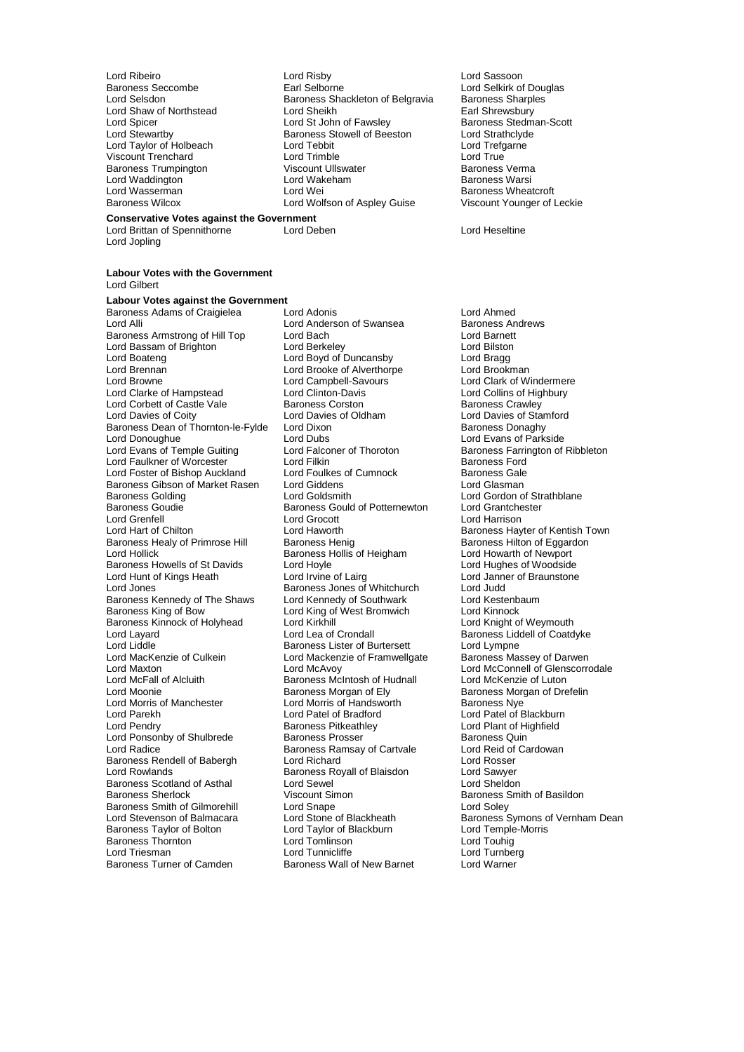Lord Stomarts,<br>Lord Taylor of Holbeach Lord Waddington<br>Lord Wasserman

Lord Jopling

Lord Ribeiro **Lord Risby** Lord Risby **Lord Ribeiro Lord Sassoon**<br>
Baroness Seccombe **Lord Sellocal** Earl Selborne **Lord Sellocal Lord Selkirk** of Baroness Seccombe **Earl Selborne Community** Lord Selkirk of Douglas<br>
Lord Selsdon<br>
Lord Selsdon **Community** Baroness Shackleton of Belgravia Baroness Sharples Baroness Shackleton of Belgravia Lord Shaw of Northstead Lord Sheikh Earl Shrewsbury<br>
Lord Sheikh Earl Shrewsbury<br>
Lord St John of Fawsley Baroness Stedm Lord Spicer **Lord St John of Fawsley Baroness Stedman-Scott**<br>
Lord Stewartby **Baroness Stowell of Beeston** Lord Strathclyde Exaroness Stowell of Beeston Lord Strathclyd<br>
Lord Tebbit Lord Trefaarne Viscount Trenchard Lord Trimble Lord True Baroness Trumpington **Baroness Viscount Ullswater** Museum Baroness Verma<br>
Lord Waddington **March Lord Wakeham** Baroness Warsi Lord Wasserman **Lord Wei Baroness Wheatcroft**<br>
Baroness Wilcox **Baroness Wilcox** Lord Wolfson of Aspley Guise **Milters** Viscount Younger of Leckie Lord Wolfson of Aspley Guise

### **Conservative Votes against the Government**

Lord Brittan of Spennithorne Lord Deben Lord Heseltine

#### **Labour Votes with the Government** Lord Gilbert

**Labour Votes against the Government** Baroness Adams of Craigielea Lord Adonis<br>
Lord Andrews Lord Anderson of Swansea Baroness Andrews Baroness Armstrong of Hill Top Lord Bach Lord Barnett<br>
Lord Bassam of Brighton Lord Berkeley Cord Barnett Lord Bilston Lord Bassam of Brighton Lord Berkeley Lord Bilston Lord Boateng Lord Boyd of Duncansby Lord Bragg Lord Brennan Lord Brooke of Alverthorpe<br>
Lord Browne Lord Campbell-Savours Lord Clarke of Hampstead Lord Clinton-Davis Lord Collins of Highbury Corp Lord Collins of Highbury Corp Lord Collins of Highbury Corp Lord Collins of Highbury Corp Lord Collins of Highbury Corp Lord Corp Lord Corp Lord Cor Lord Corbett of Castle Vale Baroness Corston<br>
Lord Davies of Coity Lord Davies of Oldham Baroness Dean of Thornton-le-Fylde Lord Dixon Baroness Danaghy Lord Donoughue Lord Dubs<br>
Lord Evans of Temple Guiting Lord Falconer of Thoroton Baroness Farrington of Lord Faulkner of Worcester **Lord Filkin** Lord Filkin Baroness Ford Lord Foulkes of Cumnock Baroness Gale Lord Foster of Bishop Auckland Lord Foulkes of Cumnock Baroness Gale<br>Baroness Gibson of Market Rasen Lord Giddens Lord Guasman Baroness Gibson of Market Rasen<br>
Baroness Golding<br>
Lord Goldsmith<br>
Lord Goldsmith Baroness Goudie **Baroness Gould of Potternewton** Lord Grantchester<br>
Lord Grenfell **Condition**<br>
Lord Grenfell Lord Grenfell<br>
Lord Harrison Lord Haworth Lord Harrison<br>
Lord Harrison Lord Haworth Lord Haworth Baroness Hav Baroness Healy of Primrose Hill Baroness Henig Baroness Healy of Eggardoness Hilton of Eggardoness Hollis of Heigham Baroness Hollis of Heigham Lord Howarth of Newport Baroness Howells of St Davids Lord Hoyle<br>Lord Hunt of Kings Heath Lord Irvine of Lairg Lord Jones<br>
Baroness Kennedy of The Shaws Lord Kennedy of Southwark Lord Kestenbaum<br>
Lord Kestenbaum Baroness Kennedy of The Shaws Lord Kennedy of Southwark Lord Kestenb<br>Baroness King of Bow Lord King of West Bromwich Lord Kinnock Baroness Kinnock of Holyhead Lord Kirkhill<br>Lord Layard Lord Lea of Crondall Lord Layard **Lord Lea of Crondall** Baroness Liddell of Coatdyke<br>Lord Liddle **Lord Light Baroness Lister of Burtersett** Lord Lympne Lord Liddle **Common Common Baroness Lister of Burtersett** Lord Lympne<br>Lord MacKenzie of Culkein Lord Mackenzie of Framwellgate Baroness Massey of Darwen Lord MacKenzie of Culkein Lord Mackenzie of Framwellgate<br>Lord Maxton Lord McAvoy Lord Maxton Lord McAvoy Lord McAvoy Lord McConnell of Glenscorrodale<br>
Lord McConnell of Alcluith Baroness McIntosh of Hudnall Lord McKenzie of Luton Lord McFall of Alcluith Baroness McIntosh of Hudnall<br>Lord Moonie **Baroness Morgan** of Ely Lord Moonie<br>
Lord Morris of Manchester
Lord Morris of Handsworth
Baroness Nye
Baroness Nye
Baroness Nye
Baroness Nye
Lord Morris of Handsworth
Saroness Nye
Lord Morris of Manchester
Lord Morris of Handsworth
Saroness Nye
T Lord Parekh Lord Patel of Bradford Lord Patel of Blackburn Lord Ponsonby of Shulbrede Baroness Prosser Baroness Quin<br>Lord Radice Baroness Ramsay of Cartyale Lord Reid of Cardowan Baroness Rendell of Babergh Lord Richard<br>
Lord Rowlands Cord Rosser<br>
Lord Rowlands Cord Sawyer<br>
Baroness Royall of Blaisdon Lord Sawyer Baroness Scotland of Asthal Lord Sewel Lord Sheldon Baroness Sherlock **Viscount Simon**<br>
Baroness Smith of Gilmorehill Lord Snape<br>
Lord Soley<br>
Lord Soley Baroness Smith of Gilmorehill<br>
Lord Stape<br>
Lord Stone of Blackheath<br>
Lord Stone of Blackheath Baroness Taylor of Bolton Lord Taylor of Blackburn Corport Lord Temple<br>Baroness Thornton Corport Lord Tomlinson Lord Touhig Baroness Thornton Lord Tomlinson Lord Touhig Baroness Turner of Camden Baroness Wall of New Barnet Lord Warner

Lord Anderson of Swansea Baroness Andrews Andrews Andrews Andrews Andrews Andrews Andrews Andrews Andrews Andr<br>Lord Barnett Lord Campbell-Savours<br>
Lord Clinton-Davis<br>
Lord Collins of Highbury Exaroness Hollis of Heigham Lord Howarth of Newport<br>
Lord Hoyle<br>
Lord Hughes of Woodside Lord King of West Bromwich Lord Kinnock<br>Lord Kirkhill Lord Knight of Weymouth Lord Morris of Handsworth Baroness Pitkeathley<br>
Baroness Prosser<br>
Baroness Quin Baroness Ramsay of Cartvale Lord Reid of Lord Richard<br>
Lord Richard Carl Lord Rosser Baroness Royall of Blaisdon Lord Tunnicliffe<br>Baroness Wall of New Barnet

Lord Davies of Stamford Lord Falconer of Thoroton Baroness Farrington of Ribbleton<br>
Lord Filkin Cord Baroness Ford Baroness Golding Lord Goldsmith Lord Gordon of Strathblane Lord Haworth **Example 2** Baroness Hayter of Kentish Town<br>Baroness Henig **Baroness Hilton of Eggardon** Lord Janner of Braunstone Lord Stone of Blackheath Baroness Symons of Vernham Dean<br>
Lord Tavlor of Blackburn Lord Temple-Morris